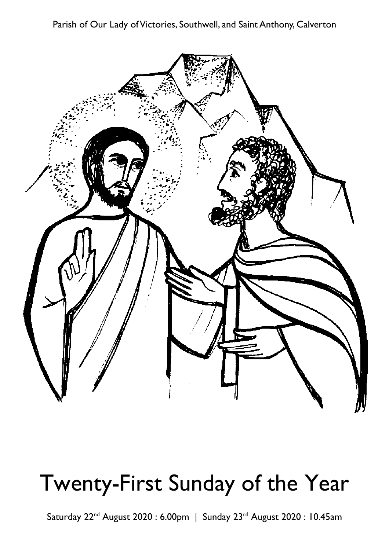Parish of Our Lady of Victories, Southwell, and Saint Anthony, Calverton



# Twenty-First Sunday of the Year

Saturday 22<sup>nd</sup> August 2020 : 6.00pm | Sunday 23<sup>rd</sup> August 2020 : 10.45am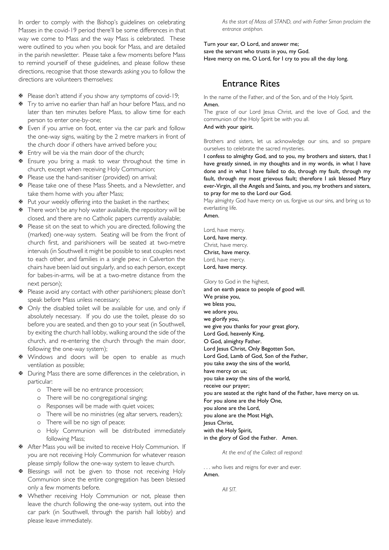In order to comply with the Bishop's guidelines on celebrating Masses in the covid-19 period there'll be some differences in that way we come to Mass and the way Mass is celebrated. These were outlined to you when you book for Mass, and are detailed in the parish newsletter. Please take a few moments before Mass to remind yourself of these guidelines, and please follow these directions, recognise that those stewards asking you to follow the directions are volunteers themselves:

- X Please don't attend if you show any symptoms of covid-19;
- **X** Try to arrive no earlier than half an hour before Mass, and no later than ten minutes before Mass, to allow time for each person to enter one-by-one;
- X Even if you arrive on foot, enter via the car park and follow the one-way signs, waiting by the 2 metre markers in front of the church door if others have arrived before you;
- **Entry will be via the main door of the church;**
- X Ensure you bring a mask to wear throughout the time in church, except when receiving Holy Communion;
- X Please use the hand-sanitiser (provided) on arrival;
- **X** Please take one of these Mass Sheets, and a Newsletter, and take them home with you after Mass;
- $\mathbf{\Psi}$  Put your weekly offering into the basket in the narthex;
- **X** There won't be any holy water available, the repository will be closed, and there are no Catholic papers currently available;
- X Please sit on the seat to which you are directed, following the (marked) one-way system. Seating will be from the front of church first, and parishioners will be seated at two-metre intervals (in Southwell it might be possible to seat couples next to each other, and families in a single pew; in Calverton the chairs have been laid out singularly, and so each person, except for babes-in-arms, will be at a two-metre distance from the next person);
- X Please avoid any contact with other parishioners; please don't speak before Mass unless necessary;
- X Only the disabled toilet will be available for use, and only if absolutely necessary. If you do use the toilet, please do so before you are seated, and then go to your seat (in Southwell, by exiting the church hall lobby, walking around the side of the church, and re-entering the church through the main door, following the one-way system);
- X Windows and doors will be open to enable as much ventilation as possible;
- **X** During Mass there are some differences in the celebration, in particular:
	- o There will be no entrance procession;
	- o There will be no congregational singing;
	- o Responses will be made with quiet voices;
	- o There will be no ministries (eg altar servers, readers);
	- o There will be no sign of peace;
	- o Holy Communion will be distributed immediately following Mass;
- **X** After Mass you will be invited to receive Holy Communion. If you are not receiving Holy Communion for whatever reason please simply follow the one-way system to leave church.
- X Blessings will not be given to those not receiving Holy Communion since the entire congregation has been blessed only a few moments before.
- X Whether receiving Holy Communion or not, please then leave the church following the one-way system, out into the car park (in Southwell, through the parish hall lobby) and please leave immediately.

*As the start of Mass all STAND, and with Father Simon proclaim the entrance antiphon.*

Turn your ear, O Lord, and answer me; save the servant who trusts in you, my God. Have mercy on me, O Lord, for I cry to you all the day long.

### Entrance Rites

In the name of the Father, and of the Son, and of the Holy Spirit. Amen.

The grace of our Lord Jesus Christ, and the love of God, and the communion of the Holy Spirit be with you all.

#### And with your spirit.

Brothers and sisters, let us acknowledge our sins, and so prepare ourselves to celebrate the sacred mysteries.

I confess to almighty God, and to you, my brothers and sisters, that I have greatly sinned, in my thoughts and in my words, in what I have done and in what I have failed to do, through my fault, through my fault, through my most grievous fault; therefore I ask blessed Mary ever-Virgin, all the Angels and Saints, and you, my brothers and sisters, to pray for me to the Lord our God.

May almighty God have mercy on us, forgive us our sins, and bring us to everlasting life.

Amen.

Lord, have mercy. Lord, have mercy. Christ, have mercy. Christ, have mercy. Lord, have mercy. Lord, have mercy.

Glory to God in the highest,

and on earth peace to people of good will. We praise you, we bless you, we adore you, we glorify you, we give you thanks for your great glory, Lord God, heavenly King, O God, almighty Father. Lord Jesus Christ, Only Begotten Son, Lord God, Lamb of God, Son of the Father, you take away the sins of the world, have mercy on us; you take away the sins of the world, receive our prayer; you are seated at the right hand of the Father, have mercy on us. For you alone are the Holy One, you alone are the Lord, you alone are the Most High, Jesus Christ, with the Holy Spirit, in the glory of God the Father. Amen.

*At the end of the Collect all respond:*

. . . who lives and reigns for ever and ever. Amen.

*All SIT.*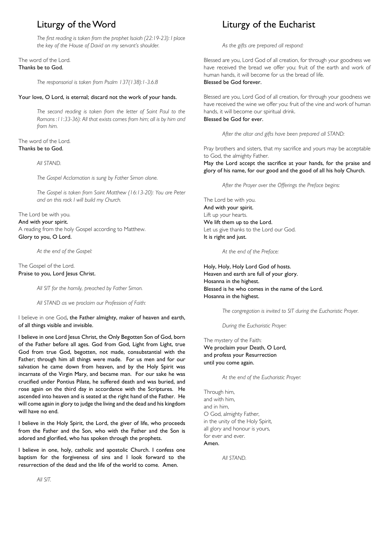# Liturgy of the Word

*The first reading is taken from the prophet Isaiah (22:19-23): I place the key of the House of David on my servant's shoulder.*

#### The word of the Lord. Thanks be to God.

*The responsorial is taken from Psalm 137(138):1-3.6.8*

#### Your love, O Lord, is eternal; discard not the work of your hands.

*The second reading is taken from the letter of Saint Paul to the Romans :11:33-36): All that exists comes from him; all is by him and from him.*

#### The word of the Lord. Thanks be to God.

#### *All STAND.*

*The Gospel Acclamation is sung by Father Simon alone.*

*The Gospel is taken from Saint Matthew (16:13-20): You are Peter and on this rock I will build my Church.*

#### The Lord be with you. And with your spirit. A reading from the holy Gospel according to Matthew. Glory to you, O Lord.

*At the end of the Gospel:*

#### The Gospel of the Lord. Praise to you, Lord Jesus Christ.

*All SIT for the homily, preached by Father Simon.*

*All STAND as we proclaim our Profession of Faith:*

I believe in one God, the Father almighty, maker of heaven and earth, of all things visible and invisible.

I believe in one Lord Jesus Christ, the Only Begotten Son of God, born of the Father before all ages. God from God, Light from Light, true God from true God, begotten, not made, consubstantial with the Father; through him all things were made. For us men and for our salvation he came down from heaven, and by the Holy Spirit was incarnate of the Virgin Mary, and became man. For our sake he was crucified under Pontius Pilate, he suffered death and was buried, and rose again on the third day in accordance with the Scriptures. He ascended into heaven and is seated at the right hand of the Father. He will come again in glory to judge the living and the dead and his kingdom will have no end.

I believe in the Holy Spirit, the Lord, the giver of life, who proceeds from the Father and the Son, who with the Father and the Son is adored and glorified, who has spoken through the prophets.

I believe in one, holy, catholic and apostolic Church. I confess one baptism for the forgiveness of sins and I look forward to the resurrection of the dead and the life of the world to come. Amen.

# Liturgy of the Eucharist

*As the gifts are prepared all respond:*

Blessed are you, Lord God of all creation, for through your goodness we have received the bread we offer you: fruit of the earth and work of human hands, it will become for us the bread of life. Blessed be God forever.

Blessed are you, Lord God of all creation, for through your goodness we have received the wine we offer you: fruit of the vine and work of human hands, it will become our spiritual drink. Blessed be God for ever.

*After the altar and gifts have been prepared all STAND:*

Pray brothers and sisters, that my sacrifice and yours may be acceptable to God, the almighty Father.

May the Lord accept the sacrifice at your hands, for the praise and glory of his name, for our good and the good of all his holy Church.

*After the Prayer over the Offerings the Preface begins:*

The Lord be with you. And with your spirit. Lift up your hearts. We lift them up to the Lord. Let us give thanks to the Lord our God. It is right and just.

*At the end of the Preface:*

Holy, Holy, Holy Lord God of hosts. Heaven and earth are full of your glory. Hosanna in the highest. Blessed is he who comes in the name of the Lord. Hosanna in the highest.

*The congregation is invited to SIT during the Eucharistic Prayer.*

*During the Eucharistic Prayer:*

The mystery of the Faith: We proclaim your Death, O Lord, and profess your Resurrection until you come again.

*At the end of the Eucharistic Prayer:*

Through him, and with him, and in him, O God, almighty Father, in the unity of the Holy Spirit, all glory and honour is yours, for ever and ever. Amen.

*All STAND.*